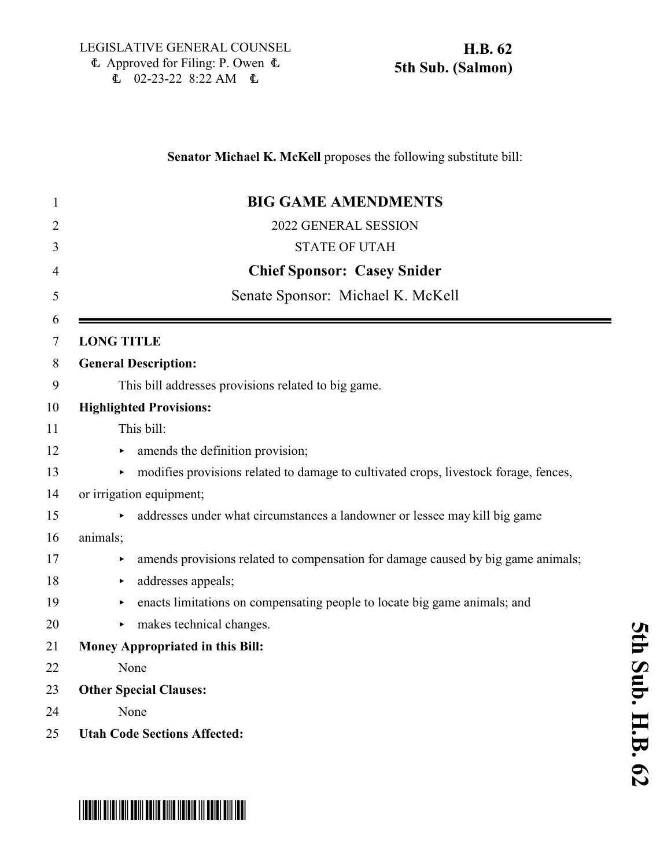| 1              | <b>BIG GAME AMENDMENTS</b>                                                           |
|----------------|--------------------------------------------------------------------------------------|
| $\overline{2}$ | 2022 GENERAL SESSION                                                                 |
| 3              | <b>STATE OF UTAH</b>                                                                 |
| 4              | <b>Chief Sponsor: Casey Snider</b>                                                   |
| 5              | Senate Sponsor: Michael K. McKell                                                    |
| 6              |                                                                                      |
| 7              | <b>LONG TITLE</b>                                                                    |
| 8              | <b>General Description:</b>                                                          |
| 9              | This bill addresses provisions related to big game.                                  |
| 10             | <b>Highlighted Provisions:</b>                                                       |
| 11             | This bill:                                                                           |
| 12             | amends the definition provision;                                                     |
| 13             | modifies provisions related to damage to cultivated crops, livestock forage, fences, |
| 14             | or irrigation equipment;                                                             |
| 15             | addresses under what circumstances a landowner or lessee may kill big game           |
| 16             | animals;                                                                             |
| 17             | amends provisions related to compensation for damage caused by big game animals;     |
| 18             | addresses appeals;<br>×                                                              |
| 19             | enacts limitations on compensating people to locate big game animals; and<br>▶       |
| 20             | makes technical changes.<br>▶.                                                       |
| 21             | <b>Money Appropriated in this Bill:</b>                                              |
| 22             | None                                                                                 |
| 23             | <b>Other Special Clauses:</b>                                                        |
| 24             | None                                                                                 |
| 25             | <b>Utah Code Sections Affected:</b>                                                  |

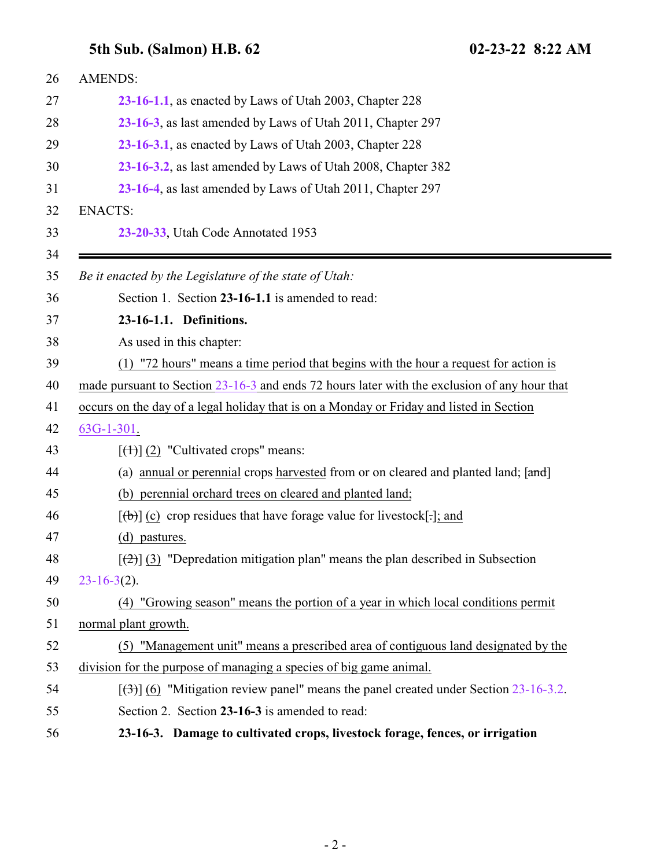<span id="page-1-1"></span><span id="page-1-0"></span>

| 26 | <b>AMENDS:</b>                                                                               |
|----|----------------------------------------------------------------------------------------------|
| 27 | 23-16-1.1, as enacted by Laws of Utah 2003, Chapter 228                                      |
| 28 | 23-16-3, as last amended by Laws of Utah 2011, Chapter 297                                   |
| 29 | 23-16-3.1, as enacted by Laws of Utah 2003, Chapter 228                                      |
| 30 | 23-16-3.2, as last amended by Laws of Utah 2008, Chapter 382                                 |
| 31 | 23-16-4, as last amended by Laws of Utah 2011, Chapter 297                                   |
| 32 | <b>ENACTS:</b>                                                                               |
| 33 | 23-20-33, Utah Code Annotated 1953                                                           |
| 34 |                                                                                              |
| 35 | Be it enacted by the Legislature of the state of Utah:                                       |
| 36 | Section 1. Section 23-16-1.1 is amended to read:                                             |
| 37 | 23-16-1.1. Definitions.                                                                      |
| 38 | As used in this chapter:                                                                     |
| 39 | (1) "72 hours" means a time period that begins with the hour a request for action is         |
| 40 | made pursuant to Section 23-16-3 and ends 72 hours later with the exclusion of any hour that |
| 41 | occurs on the day of a legal holiday that is on a Monday or Friday and listed in Section     |
| 42 | $63G-1-301$ .                                                                                |
| 43 | $[\left(\frac{1}{1}\right)]$ (2) "Cultivated crops" means:                                   |
| 44 | (a) annual or perennial crops harvested from or on cleared and planted land; [and]           |
| 45 | (b) perennial orchard trees on cleared and planted land;                                     |
| 46 | $[\phi]$ (c) crop residues that have forage value for livestock[.]; and                      |
| 47 | (d) pastures.                                                                                |
| 48 | $[\frac{1}{2}]$ (3) "Depredation mitigation plan" means the plan described in Subsection     |
| 49 | $23-16-3(2)$ .                                                                               |
| 50 | (4) "Growing season" means the portion of a year in which local conditions permit            |
| 51 | normal plant growth.                                                                         |
| 52 | (5) "Management unit" means a prescribed area of contiguous land designated by the           |
| 53 | division for the purpose of managing a species of big game animal.                           |
| 54 | $[36]$ (6) "Mitigation review panel" means the panel created under Section 23-16-3.2.        |
| 55 | Section 2. Section 23-16-3 is amended to read:                                               |
| 56 | 23-16-3. Damage to cultivated crops, livestock forage, fences, or irrigation                 |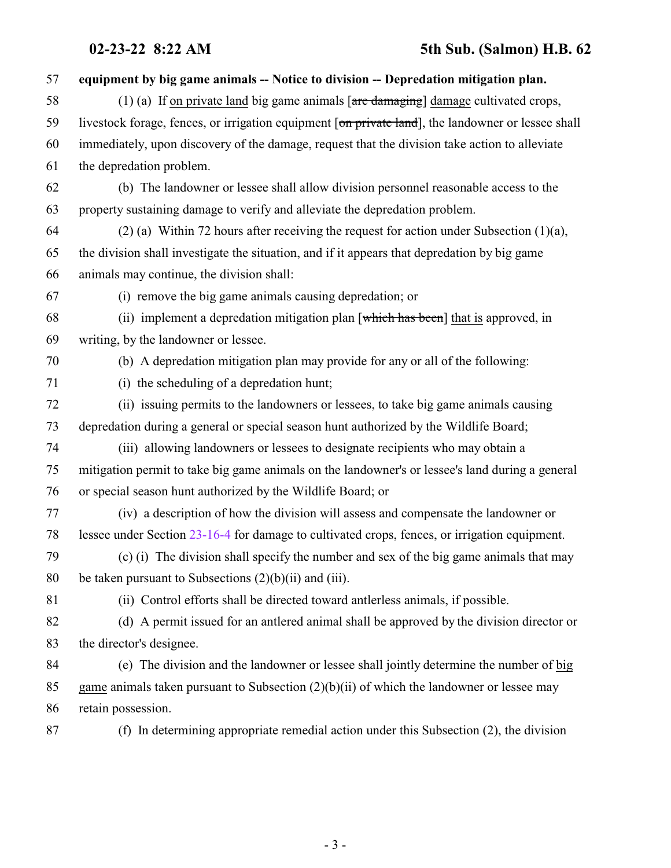| 57 | equipment by big game animals -- Notice to division -- Depredation mitigation plan.                  |
|----|------------------------------------------------------------------------------------------------------|
| 58 | (1) (a) If on private land big game animals $[\text{are } \text{damaging}]$ damage cultivated crops, |
| 59 | livestock forage, fences, or irrigation equipment [on private land], the landowner or lessee shall   |
| 60 | immediately, upon discovery of the damage, request that the division take action to alleviate        |
| 61 | the depredation problem.                                                                             |
| 62 | (b) The landowner or lessee shall allow division personnel reasonable access to the                  |
| 63 | property sustaining damage to verify and alleviate the depredation problem.                          |
| 64 | $(2)$ (a) Within 72 hours after receiving the request for action under Subsection $(1)(a)$ ,         |
| 65 | the division shall investigate the situation, and if it appears that depredation by big game         |
| 66 | animals may continue, the division shall:                                                            |
| 67 | (i) remove the big game animals causing depredation; or                                              |
| 68 | (ii) implement a depredation mitigation plan [which has been] that is approved, in                   |
| 69 | writing, by the landowner or lessee.                                                                 |
| 70 | (b) A depredation mitigation plan may provide for any or all of the following:                       |
| 71 | (i) the scheduling of a depredation hunt;                                                            |
| 72 | (ii) issuing permits to the landowners or lessees, to take big game animals causing                  |
| 73 | depredation during a general or special season hunt authorized by the Wildlife Board;                |
| 74 | (iii) allowing landowners or lessees to designate recipients who may obtain a                        |
| 75 | mitigation permit to take big game animals on the landowner's or lessee's land during a general      |
| 76 | or special season hunt authorized by the Wildlife Board; or                                          |
| 77 | (iv) a description of how the division will assess and compensate the landowner or                   |
| 78 | lessee under Section 23-16-4 for damage to cultivated crops, fences, or irrigation equipment.        |
| 79 | (c) (i) The division shall specify the number and sex of the big game animals that may               |
| 80 | be taken pursuant to Subsections $(2)(b)(ii)$ and $(iii)$ .                                          |
| 81 | (ii) Control efforts shall be directed toward antierless animals, if possible.                       |
| 82 | (d) A permit issued for an antlered animal shall be approved by the division director or             |
| 83 | the director's designee.                                                                             |
| 84 | (e) The division and the landowner or lessee shall jointly determine the number of big               |
| 85 | game animals taken pursuant to Subsection $(2)(b)(ii)$ of which the landowner or lessee may          |
| 86 | retain possession.                                                                                   |

(f) In determining appropriate remedial action under this Subsection (2), the division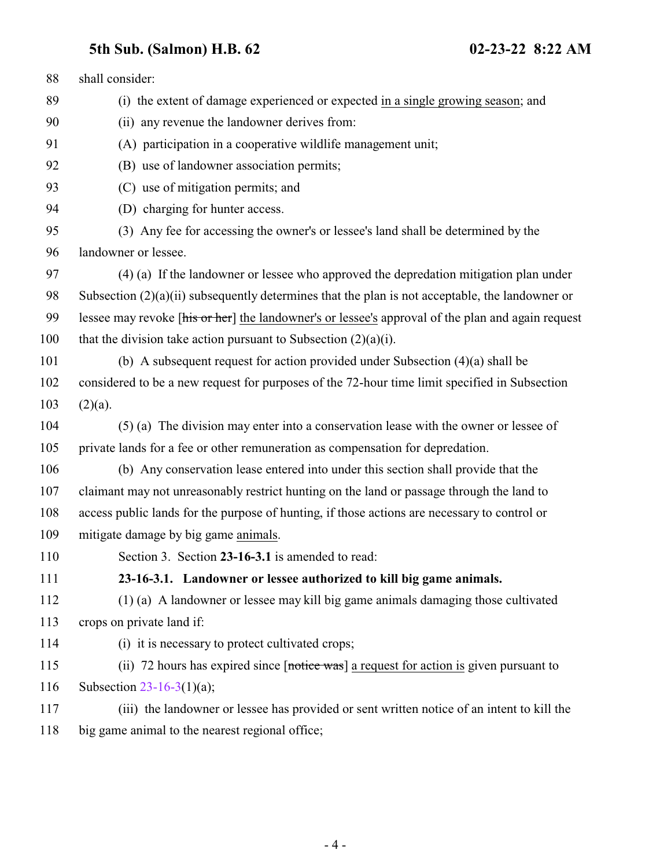<span id="page-3-0"></span>

| 88         | shall consider:                                                                                       |
|------------|-------------------------------------------------------------------------------------------------------|
| 89         | (i) the extent of damage experienced or expected in a single growing season; and                      |
| 90         | (ii) any revenue the landowner derives from:                                                          |
| 91         | (A) participation in a cooperative wildlife management unit;                                          |
| 92         | (B) use of landowner association permits;                                                             |
| 93         | (C) use of mitigation permits; and                                                                    |
| 94         | (D) charging for hunter access.                                                                       |
| 95         | (3) Any fee for accessing the owner's or lessee's land shall be determined by the                     |
| 96         | landowner or lessee.                                                                                  |
| 97         | (4) (a) If the landowner or lessee who approved the depredation mitigation plan under                 |
| 98         | Subsection $(2)(a)(ii)$ subsequently determines that the plan is not acceptable, the landowner or     |
| 99         | lessee may revoke [his or her] the landowner's or lessee's approval of the plan and again request     |
| 100        | that the division take action pursuant to Subsection $(2)(a)(i)$ .                                    |
| 101        | (b) A subsequent request for action provided under Subsection $(4)(a)$ shall be                       |
| 102        | considered to be a new request for purposes of the 72-hour time limit specified in Subsection         |
| 103        | $(2)(a)$ .                                                                                            |
| 104        | (5) (a) The division may enter into a conservation lease with the owner or lessee of                  |
| 105        | private lands for a fee or other remuneration as compensation for depredation.                        |
| 106        | (b) Any conservation lease entered into under this section shall provide that the                     |
| 107        | claimant may not unreasonably restrict hunting on the land or passage through the land to             |
| 108        | access public lands for the purpose of hunting, if those actions are necessary to control or          |
| 109        | mitigate damage by big game animals.                                                                  |
| <b>110</b> | Section 3. Section 23-16-3.1 is amended to read:                                                      |
| 111        | 23-16-3.1. Landowner or lessee authorized to kill big game animals.                                   |
| 112        | (1) (a) A landowner or lessee may kill big game animals damaging those cultivated                     |
| 113        | crops on private land if:                                                                             |
| 114        | (i) it is necessary to protect cultivated crops;                                                      |
| 115        | (ii) 72 hours has expired since $[$ <del>notice was</del> ] a request for action is given pursuant to |
| 116        | Subsection $23-16-3(1)(a)$ ;                                                                          |
| 117        | (iii) the landowner or lessee has provided or sent written notice of an intent to kill the            |
| 118        | big game animal to the nearest regional office;                                                       |
|            |                                                                                                       |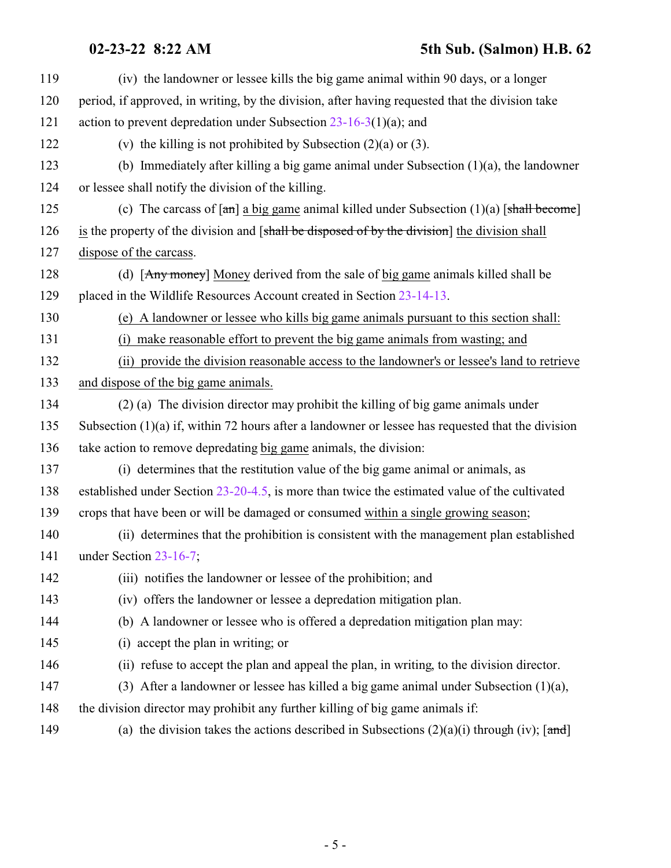| 119 | (iv) the landowner or lessee kills the big game animal within 90 days, or a longer                        |
|-----|-----------------------------------------------------------------------------------------------------------|
| 120 | period, if approved, in writing, by the division, after having requested that the division take           |
| 121 | action to prevent depredation under Subsection $23-16-3(1)(a)$ ; and                                      |
| 122 | (v) the killing is not prohibited by Subsection $(2)(a)$ or $(3)$ .                                       |
| 123 | (b) Immediately after killing a big game animal under Subsection $(1)(a)$ , the landowner                 |
| 124 | or lessee shall notify the division of the killing.                                                       |
| 125 | (c) The carcass of $[\text{an}]$ a big game animal killed under Subsection (1)(a) $[\text{shall become}]$ |
| 126 | is the property of the division and [shall be disposed of by the division] the division shall             |
| 127 | dispose of the carcass.                                                                                   |
| 128 | (d) [Any money] Money derived from the sale of big game animals killed shall be                           |
| 129 | placed in the Wildlife Resources Account created in Section 23-14-13.                                     |
| 130 | (e) A landowner or lessee who kills big game animals pursuant to this section shall:                      |
| 131 | (i) make reasonable effort to prevent the big game animals from wasting; and                              |
| 132 | (ii) provide the division reasonable access to the landowner's or lessee's land to retrieve               |
| 133 | and dispose of the big game animals.                                                                      |
| 134 | (2) (a) The division director may prohibit the killing of big game animals under                          |
| 135 | Subsection $(1)(a)$ if, within 72 hours after a landowner or lessee has requested that the division       |
| 136 | take action to remove depredating big game animals, the division:                                         |
| 137 | (i) determines that the restitution value of the big game animal or animals, as                           |
| 138 | established under Section $23-20-4.5$ , is more than twice the estimated value of the cultivated          |
| 139 | crops that have been or will be damaged or consumed within a single growing season;                       |
| 140 | (ii) determines that the prohibition is consistent with the management plan established                   |
| 141 | under Section $23-16-7$ ;                                                                                 |
| 142 | (iii) notifies the landowner or lessee of the prohibition; and                                            |
| 143 | (iv) offers the landowner or lessee a depredation mitigation plan.                                        |
| 144 | (b) A landowner or lessee who is offered a depredation mitigation plan may:                               |
| 145 | (i) accept the plan in writing; or                                                                        |
| 146 | (ii) refuse to accept the plan and appeal the plan, in writing, to the division director.                 |
| 147 | (3) After a landowner or lessee has killed a big game animal under Subsection $(1)(a)$ ,                  |
| 148 | the division director may prohibit any further killing of big game animals if:                            |
| 149 | (a) the division takes the actions described in Subsections $(2)(a)(i)$ through (iv); [and]               |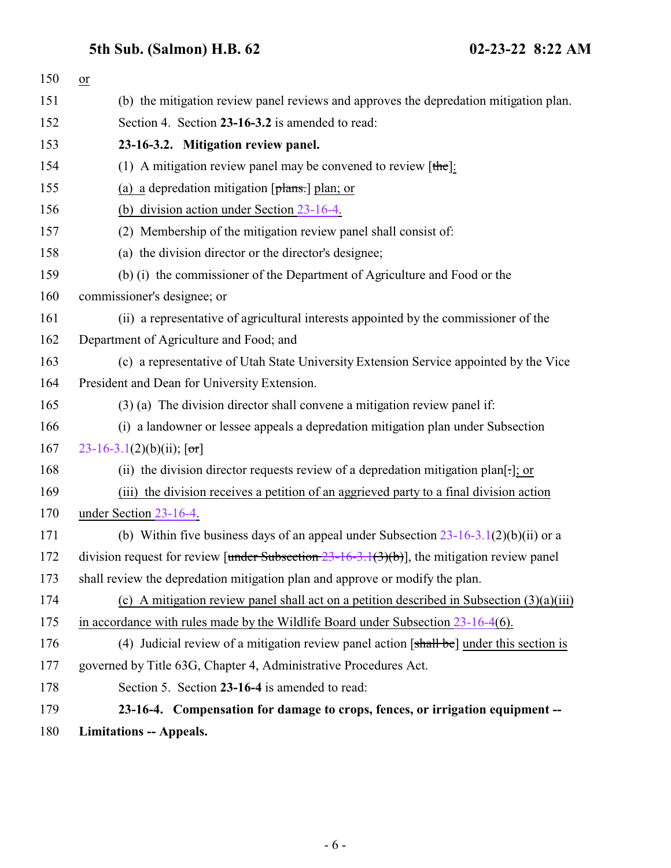<span id="page-5-0"></span>

<span id="page-5-1"></span>

| 150 | $or$                                                                                                       |
|-----|------------------------------------------------------------------------------------------------------------|
| 151 | (b) the mitigation review panel reviews and approves the depredation mitigation plan.                      |
| 152 | Section 4. Section 23-16-3.2 is amended to read:                                                           |
| 153 | 23-16-3.2. Mitigation review panel.                                                                        |
| 154 | (1) A mitigation review panel may be convened to review $[the]$ :                                          |
| 155 | (a) a depredation mitigation $[\frac{\theta}{\theta}]\$ plan; or                                           |
| 156 | (b) division action under Section 23-16-4.                                                                 |
| 157 | (2) Membership of the mitigation review panel shall consist of:                                            |
| 158 | (a) the division director or the director's designee;                                                      |
| 159 | (b) (i) the commissioner of the Department of Agriculture and Food or the                                  |
| 160 | commissioner's designee; or                                                                                |
| 161 | (ii) a representative of agricultural interests appointed by the commissioner of the                       |
| 162 | Department of Agriculture and Food; and                                                                    |
| 163 | (c) a representative of Utah State University Extension Service appointed by the Vice                      |
| 164 | President and Dean for University Extension.                                                               |
| 165 | (3) (a) The division director shall convene a mitigation review panel if:                                  |
| 166 | (i) a landowner or lessee appeals a depredation mitigation plan under Subsection                           |
| 167 | 23-16-3.1(2)(b)(ii); $[\sigma r]$                                                                          |
| 168 | (ii) the division director requests review of a depredation mitigation plan[.]; or                         |
| 169 | (iii) the division receives a petition of an aggrieved party to a final division action                    |
| 170 | under Section 23-16-4.                                                                                     |
| 171 | (b) Within five business days of an appeal under Subsection $23-16-3.1(2)(b)(ii)$ or a                     |
| 172 | division request for review [under Subsection $23-16-3.1(3)(b)$ ], the mitigation review panel             |
| 173 | shall review the depredation mitigation plan and approve or modify the plan.                               |
| 174 | (c) A mitigation review panel shall act on a petition described in Subsection $(3)(a)(iii)$                |
| 175 | in accordance with rules made by the Wildlife Board under Subsection $23-16-4(6)$ .                        |
| 176 | (4) Judicial review of a mitigation review panel action $[\frac{shall}{\text{bel}}]$ under this section is |
| 177 | governed by Title 63G, Chapter 4, Administrative Procedures Act.                                           |
| 178 | Section 5. Section 23-16-4 is amended to read:                                                             |
| 179 | 23-16-4. Compensation for damage to crops, fences, or irrigation equipment --                              |
| 180 | <b>Limitations -- Appeals.</b>                                                                             |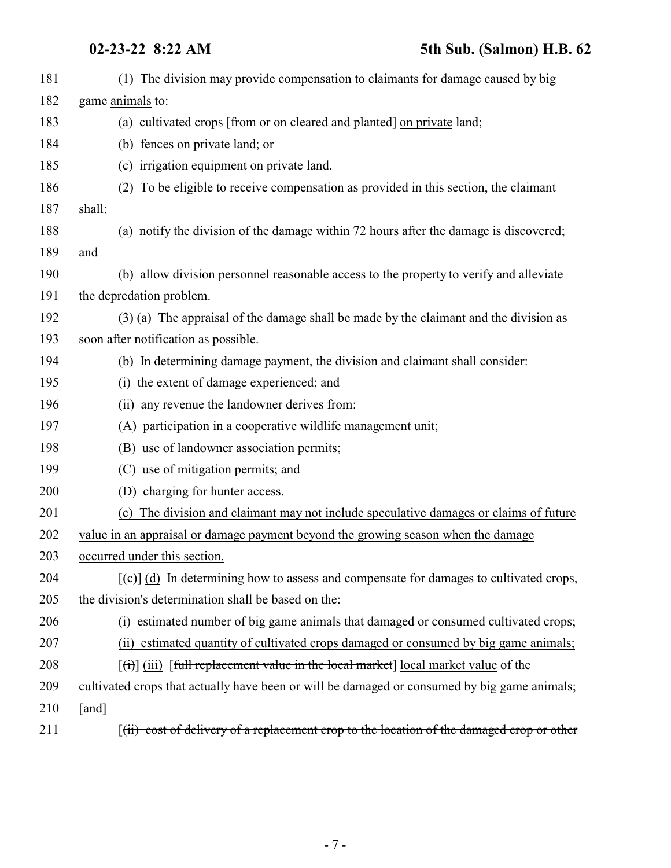| 181 | (1) The division may provide compensation to claimants for damage caused by big                               |
|-----|---------------------------------------------------------------------------------------------------------------|
| 182 | game animals to:                                                                                              |
| 183 | (a) cultivated crops [from or on cleared and planted] on private land;                                        |
| 184 | (b) fences on private land; or                                                                                |
| 185 | (c) irrigation equipment on private land.                                                                     |
| 186 | (2) To be eligible to receive compensation as provided in this section, the claimant                          |
| 187 | shall:                                                                                                        |
| 188 | (a) notify the division of the damage within 72 hours after the damage is discovered;                         |
| 189 | and                                                                                                           |
| 190 | (b) allow division personnel reasonable access to the property to verify and alleviate                        |
| 191 | the depredation problem.                                                                                      |
| 192 | (3) (a) The appraisal of the damage shall be made by the claimant and the division as                         |
| 193 | soon after notification as possible.                                                                          |
| 194 | (b) In determining damage payment, the division and claimant shall consider:                                  |
| 195 | (i) the extent of damage experienced; and                                                                     |
| 196 | (ii) any revenue the landowner derives from:                                                                  |
| 197 | (A) participation in a cooperative wildlife management unit;                                                  |
| 198 | (B) use of landowner association permits;                                                                     |
| 199 | (C) use of mitigation permits; and                                                                            |
| 200 | (D) charging for hunter access.                                                                               |
| 201 | The division and claimant may not include speculative damages or claims of future<br>(c)                      |
| 202 | value in an appraisal or damage payment beyond the growing season when the damage                             |
| 203 | occurred under this section                                                                                   |
| 204 | $[\text{et}]$ (d) In determining how to assess and compensate for damages to cultivated crops,                |
| 205 | the division's determination shall be based on the:                                                           |
| 206 | (i) estimated number of big game animals that damaged or consumed cultivated crops;                           |
| 207 | (ii) estimated quantity of cultivated crops damaged or consumed by big game animals;                          |
| 208 | $\left[\frac{f(t)}{f(t)}\right]$ (iii) [full replacement value in the local market] local market value of the |
| 209 | cultivated crops that actually have been or will be damaged or consumed by big game animals;                  |
| 210 | $\lceil \text{and} \rceil$                                                                                    |
| 211 | $f(ii)$ cost of delivery of a replacement crop to the location of the damaged crop or other                   |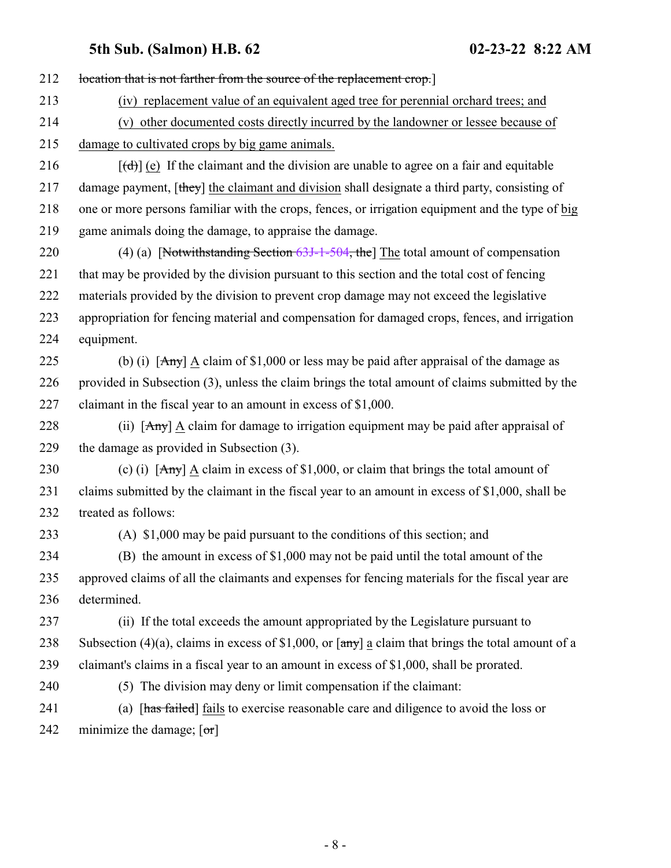| 213<br>(iv) replacement value of an equivalent aged tree for perennial orchard trees; and<br>214<br>(v) other documented costs directly incurred by the landowner or lessee because of<br>215<br>damage to cultivated crops by big game animals.<br>216<br>$[\text{(\text{d})}]$ (e) If the claimant and the division are unable to agree on a fair and equitable<br>217<br>damage payment, [they] the claimant and division shall designate a third party, consisting of<br>218<br>one or more persons familiar with the crops, fences, or irrigation equipment and the type of big<br>219<br>game animals doing the damage, to appraise the damage.<br>220<br>(4) (a) [Notwithstanding Section $63J-1-504$ , the] The total amount of compensation<br>221<br>that may be provided by the division pursuant to this section and the total cost of fencing<br>222<br>materials provided by the division to prevent crop damage may not exceed the legislative<br>223<br>appropriation for fencing material and compensation for damaged crops, fences, and irrigation<br>224<br>equipment.<br>(b) (i) $[Amy] \triangleq$ claim of \$1,000 or less may be paid after appraisal of the damage as<br>225<br>226<br>provided in Subsection (3), unless the claim brings the total amount of claims submitted by the<br>227<br>claimant in the fiscal year to an amount in excess of \$1,000.<br>228<br>(ii) $[Amy]$ A claim for damage to irrigation equipment may be paid after appraisal of<br>229<br>the damage as provided in Subsection (3).<br>(c) (i) $[Amy]$ $\underline{A}$ claim in excess of \$1,000, or claim that brings the total amount of<br>230<br>claims submitted by the claimant in the fiscal year to an amount in excess of \$1,000, shall be<br>231<br>232<br>treated as follows:<br>(A) \$1,000 may be paid pursuant to the conditions of this section; and<br>233<br>234<br>(B) the amount in excess of \$1,000 may not be paid until the total amount of the<br>approved claims of all the claimants and expenses for fencing materials for the fiscal year are<br>235<br>determined.<br>236<br>(ii) If the total exceeds the amount appropriated by the Legislature pursuant to<br>237<br>238<br>Subsection (4)(a), claims in excess of \$1,000, or $\overline{a}$ a claim that brings the total amount of a<br>239<br>claimant's claims in a fiscal year to an amount in excess of \$1,000, shall be prorated.<br>240<br>(5) The division may deny or limit compensation if the claimant:<br>241<br>(a) [has failed] fails to exercise reasonable care and diligence to avoid the loss or<br>242<br>minimize the damage; $[\sigma r]$ | 212 | location that is not farther from the source of the replacement crop.] |
|---------------------------------------------------------------------------------------------------------------------------------------------------------------------------------------------------------------------------------------------------------------------------------------------------------------------------------------------------------------------------------------------------------------------------------------------------------------------------------------------------------------------------------------------------------------------------------------------------------------------------------------------------------------------------------------------------------------------------------------------------------------------------------------------------------------------------------------------------------------------------------------------------------------------------------------------------------------------------------------------------------------------------------------------------------------------------------------------------------------------------------------------------------------------------------------------------------------------------------------------------------------------------------------------------------------------------------------------------------------------------------------------------------------------------------------------------------------------------------------------------------------------------------------------------------------------------------------------------------------------------------------------------------------------------------------------------------------------------------------------------------------------------------------------------------------------------------------------------------------------------------------------------------------------------------------------------------------------------------------------------------------------------------------------------------------------------------------------------------------------------------------------------------------------------------------------------------------------------------------------------------------------------------------------------------------------------------------------------------------------------------------------------------------------------------------------------------------------------------------------------------------------------------------------------------------------------------------------------------------------------------------------------------------|-----|------------------------------------------------------------------------|
|                                                                                                                                                                                                                                                                                                                                                                                                                                                                                                                                                                                                                                                                                                                                                                                                                                                                                                                                                                                                                                                                                                                                                                                                                                                                                                                                                                                                                                                                                                                                                                                                                                                                                                                                                                                                                                                                                                                                                                                                                                                                                                                                                                                                                                                                                                                                                                                                                                                                                                                                                                                                                                                               |     |                                                                        |
|                                                                                                                                                                                                                                                                                                                                                                                                                                                                                                                                                                                                                                                                                                                                                                                                                                                                                                                                                                                                                                                                                                                                                                                                                                                                                                                                                                                                                                                                                                                                                                                                                                                                                                                                                                                                                                                                                                                                                                                                                                                                                                                                                                                                                                                                                                                                                                                                                                                                                                                                                                                                                                                               |     |                                                                        |
|                                                                                                                                                                                                                                                                                                                                                                                                                                                                                                                                                                                                                                                                                                                                                                                                                                                                                                                                                                                                                                                                                                                                                                                                                                                                                                                                                                                                                                                                                                                                                                                                                                                                                                                                                                                                                                                                                                                                                                                                                                                                                                                                                                                                                                                                                                                                                                                                                                                                                                                                                                                                                                                               |     |                                                                        |
|                                                                                                                                                                                                                                                                                                                                                                                                                                                                                                                                                                                                                                                                                                                                                                                                                                                                                                                                                                                                                                                                                                                                                                                                                                                                                                                                                                                                                                                                                                                                                                                                                                                                                                                                                                                                                                                                                                                                                                                                                                                                                                                                                                                                                                                                                                                                                                                                                                                                                                                                                                                                                                                               |     |                                                                        |
|                                                                                                                                                                                                                                                                                                                                                                                                                                                                                                                                                                                                                                                                                                                                                                                                                                                                                                                                                                                                                                                                                                                                                                                                                                                                                                                                                                                                                                                                                                                                                                                                                                                                                                                                                                                                                                                                                                                                                                                                                                                                                                                                                                                                                                                                                                                                                                                                                                                                                                                                                                                                                                                               |     |                                                                        |
|                                                                                                                                                                                                                                                                                                                                                                                                                                                                                                                                                                                                                                                                                                                                                                                                                                                                                                                                                                                                                                                                                                                                                                                                                                                                                                                                                                                                                                                                                                                                                                                                                                                                                                                                                                                                                                                                                                                                                                                                                                                                                                                                                                                                                                                                                                                                                                                                                                                                                                                                                                                                                                                               |     |                                                                        |
|                                                                                                                                                                                                                                                                                                                                                                                                                                                                                                                                                                                                                                                                                                                                                                                                                                                                                                                                                                                                                                                                                                                                                                                                                                                                                                                                                                                                                                                                                                                                                                                                                                                                                                                                                                                                                                                                                                                                                                                                                                                                                                                                                                                                                                                                                                                                                                                                                                                                                                                                                                                                                                                               |     |                                                                        |
|                                                                                                                                                                                                                                                                                                                                                                                                                                                                                                                                                                                                                                                                                                                                                                                                                                                                                                                                                                                                                                                                                                                                                                                                                                                                                                                                                                                                                                                                                                                                                                                                                                                                                                                                                                                                                                                                                                                                                                                                                                                                                                                                                                                                                                                                                                                                                                                                                                                                                                                                                                                                                                                               |     |                                                                        |
|                                                                                                                                                                                                                                                                                                                                                                                                                                                                                                                                                                                                                                                                                                                                                                                                                                                                                                                                                                                                                                                                                                                                                                                                                                                                                                                                                                                                                                                                                                                                                                                                                                                                                                                                                                                                                                                                                                                                                                                                                                                                                                                                                                                                                                                                                                                                                                                                                                                                                                                                                                                                                                                               |     |                                                                        |
|                                                                                                                                                                                                                                                                                                                                                                                                                                                                                                                                                                                                                                                                                                                                                                                                                                                                                                                                                                                                                                                                                                                                                                                                                                                                                                                                                                                                                                                                                                                                                                                                                                                                                                                                                                                                                                                                                                                                                                                                                                                                                                                                                                                                                                                                                                                                                                                                                                                                                                                                                                                                                                                               |     |                                                                        |
|                                                                                                                                                                                                                                                                                                                                                                                                                                                                                                                                                                                                                                                                                                                                                                                                                                                                                                                                                                                                                                                                                                                                                                                                                                                                                                                                                                                                                                                                                                                                                                                                                                                                                                                                                                                                                                                                                                                                                                                                                                                                                                                                                                                                                                                                                                                                                                                                                                                                                                                                                                                                                                                               |     |                                                                        |
|                                                                                                                                                                                                                                                                                                                                                                                                                                                                                                                                                                                                                                                                                                                                                                                                                                                                                                                                                                                                                                                                                                                                                                                                                                                                                                                                                                                                                                                                                                                                                                                                                                                                                                                                                                                                                                                                                                                                                                                                                                                                                                                                                                                                                                                                                                                                                                                                                                                                                                                                                                                                                                                               |     |                                                                        |
|                                                                                                                                                                                                                                                                                                                                                                                                                                                                                                                                                                                                                                                                                                                                                                                                                                                                                                                                                                                                                                                                                                                                                                                                                                                                                                                                                                                                                                                                                                                                                                                                                                                                                                                                                                                                                                                                                                                                                                                                                                                                                                                                                                                                                                                                                                                                                                                                                                                                                                                                                                                                                                                               |     |                                                                        |
|                                                                                                                                                                                                                                                                                                                                                                                                                                                                                                                                                                                                                                                                                                                                                                                                                                                                                                                                                                                                                                                                                                                                                                                                                                                                                                                                                                                                                                                                                                                                                                                                                                                                                                                                                                                                                                                                                                                                                                                                                                                                                                                                                                                                                                                                                                                                                                                                                                                                                                                                                                                                                                                               |     |                                                                        |
|                                                                                                                                                                                                                                                                                                                                                                                                                                                                                                                                                                                                                                                                                                                                                                                                                                                                                                                                                                                                                                                                                                                                                                                                                                                                                                                                                                                                                                                                                                                                                                                                                                                                                                                                                                                                                                                                                                                                                                                                                                                                                                                                                                                                                                                                                                                                                                                                                                                                                                                                                                                                                                                               |     |                                                                        |
|                                                                                                                                                                                                                                                                                                                                                                                                                                                                                                                                                                                                                                                                                                                                                                                                                                                                                                                                                                                                                                                                                                                                                                                                                                                                                                                                                                                                                                                                                                                                                                                                                                                                                                                                                                                                                                                                                                                                                                                                                                                                                                                                                                                                                                                                                                                                                                                                                                                                                                                                                                                                                                                               |     |                                                                        |
|                                                                                                                                                                                                                                                                                                                                                                                                                                                                                                                                                                                                                                                                                                                                                                                                                                                                                                                                                                                                                                                                                                                                                                                                                                                                                                                                                                                                                                                                                                                                                                                                                                                                                                                                                                                                                                                                                                                                                                                                                                                                                                                                                                                                                                                                                                                                                                                                                                                                                                                                                                                                                                                               |     |                                                                        |
|                                                                                                                                                                                                                                                                                                                                                                                                                                                                                                                                                                                                                                                                                                                                                                                                                                                                                                                                                                                                                                                                                                                                                                                                                                                                                                                                                                                                                                                                                                                                                                                                                                                                                                                                                                                                                                                                                                                                                                                                                                                                                                                                                                                                                                                                                                                                                                                                                                                                                                                                                                                                                                                               |     |                                                                        |
|                                                                                                                                                                                                                                                                                                                                                                                                                                                                                                                                                                                                                                                                                                                                                                                                                                                                                                                                                                                                                                                                                                                                                                                                                                                                                                                                                                                                                                                                                                                                                                                                                                                                                                                                                                                                                                                                                                                                                                                                                                                                                                                                                                                                                                                                                                                                                                                                                                                                                                                                                                                                                                                               |     |                                                                        |
|                                                                                                                                                                                                                                                                                                                                                                                                                                                                                                                                                                                                                                                                                                                                                                                                                                                                                                                                                                                                                                                                                                                                                                                                                                                                                                                                                                                                                                                                                                                                                                                                                                                                                                                                                                                                                                                                                                                                                                                                                                                                                                                                                                                                                                                                                                                                                                                                                                                                                                                                                                                                                                                               |     |                                                                        |
|                                                                                                                                                                                                                                                                                                                                                                                                                                                                                                                                                                                                                                                                                                                                                                                                                                                                                                                                                                                                                                                                                                                                                                                                                                                                                                                                                                                                                                                                                                                                                                                                                                                                                                                                                                                                                                                                                                                                                                                                                                                                                                                                                                                                                                                                                                                                                                                                                                                                                                                                                                                                                                                               |     |                                                                        |
|                                                                                                                                                                                                                                                                                                                                                                                                                                                                                                                                                                                                                                                                                                                                                                                                                                                                                                                                                                                                                                                                                                                                                                                                                                                                                                                                                                                                                                                                                                                                                                                                                                                                                                                                                                                                                                                                                                                                                                                                                                                                                                                                                                                                                                                                                                                                                                                                                                                                                                                                                                                                                                                               |     |                                                                        |
|                                                                                                                                                                                                                                                                                                                                                                                                                                                                                                                                                                                                                                                                                                                                                                                                                                                                                                                                                                                                                                                                                                                                                                                                                                                                                                                                                                                                                                                                                                                                                                                                                                                                                                                                                                                                                                                                                                                                                                                                                                                                                                                                                                                                                                                                                                                                                                                                                                                                                                                                                                                                                                                               |     |                                                                        |
|                                                                                                                                                                                                                                                                                                                                                                                                                                                                                                                                                                                                                                                                                                                                                                                                                                                                                                                                                                                                                                                                                                                                                                                                                                                                                                                                                                                                                                                                                                                                                                                                                                                                                                                                                                                                                                                                                                                                                                                                                                                                                                                                                                                                                                                                                                                                                                                                                                                                                                                                                                                                                                                               |     |                                                                        |
|                                                                                                                                                                                                                                                                                                                                                                                                                                                                                                                                                                                                                                                                                                                                                                                                                                                                                                                                                                                                                                                                                                                                                                                                                                                                                                                                                                                                                                                                                                                                                                                                                                                                                                                                                                                                                                                                                                                                                                                                                                                                                                                                                                                                                                                                                                                                                                                                                                                                                                                                                                                                                                                               |     |                                                                        |
|                                                                                                                                                                                                                                                                                                                                                                                                                                                                                                                                                                                                                                                                                                                                                                                                                                                                                                                                                                                                                                                                                                                                                                                                                                                                                                                                                                                                                                                                                                                                                                                                                                                                                                                                                                                                                                                                                                                                                                                                                                                                                                                                                                                                                                                                                                                                                                                                                                                                                                                                                                                                                                                               |     |                                                                        |
|                                                                                                                                                                                                                                                                                                                                                                                                                                                                                                                                                                                                                                                                                                                                                                                                                                                                                                                                                                                                                                                                                                                                                                                                                                                                                                                                                                                                                                                                                                                                                                                                                                                                                                                                                                                                                                                                                                                                                                                                                                                                                                                                                                                                                                                                                                                                                                                                                                                                                                                                                                                                                                                               |     |                                                                        |
|                                                                                                                                                                                                                                                                                                                                                                                                                                                                                                                                                                                                                                                                                                                                                                                                                                                                                                                                                                                                                                                                                                                                                                                                                                                                                                                                                                                                                                                                                                                                                                                                                                                                                                                                                                                                                                                                                                                                                                                                                                                                                                                                                                                                                                                                                                                                                                                                                                                                                                                                                                                                                                                               |     |                                                                        |
|                                                                                                                                                                                                                                                                                                                                                                                                                                                                                                                                                                                                                                                                                                                                                                                                                                                                                                                                                                                                                                                                                                                                                                                                                                                                                                                                                                                                                                                                                                                                                                                                                                                                                                                                                                                                                                                                                                                                                                                                                                                                                                                                                                                                                                                                                                                                                                                                                                                                                                                                                                                                                                                               |     |                                                                        |
|                                                                                                                                                                                                                                                                                                                                                                                                                                                                                                                                                                                                                                                                                                                                                                                                                                                                                                                                                                                                                                                                                                                                                                                                                                                                                                                                                                                                                                                                                                                                                                                                                                                                                                                                                                                                                                                                                                                                                                                                                                                                                                                                                                                                                                                                                                                                                                                                                                                                                                                                                                                                                                                               |     |                                                                        |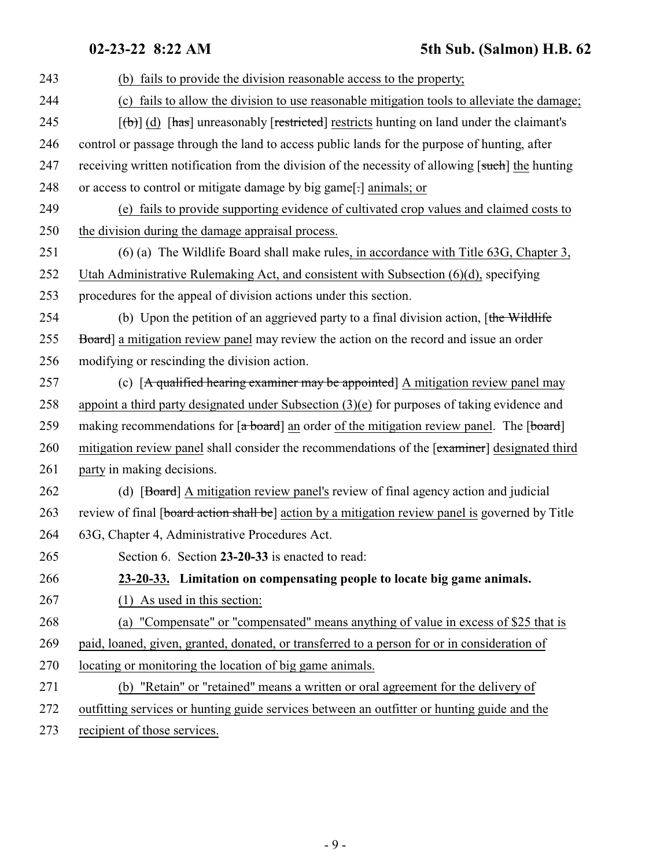| 243 | (b) fails to provide the division reasonable access to the property;                                                               |
|-----|------------------------------------------------------------------------------------------------------------------------------------|
| 244 | (c) fails to allow the division to use reasonable mitigation tools to alleviate the damage;                                        |
| 245 | $[\phi]$ (d) [has] unreasonably [restricted] restricts hunting on land under the claimant's                                        |
| 246 | control or passage through the land to access public lands for the purpose of hunting, after                                       |
| 247 | receiving written notification from the division of the necessity of allowing [such] the hunting                                   |
| 248 | or access to control or mitigate damage by big game[-] animals; or                                                                 |
| 249 | (e) fails to provide supporting evidence of cultivated crop values and claimed costs to                                            |
| 250 | the division during the damage appraisal process.                                                                                  |
| 251 | $(6)$ (a) The Wildlife Board shall make rules, in accordance with Title 63G, Chapter 3,                                            |
| 252 | Utah Administrative Rulemaking Act, and consistent with Subsection (6)(d), specifying                                              |
| 253 | procedures for the appeal of division actions under this section.                                                                  |
| 254 | (b) Upon the petition of an aggrieved party to a final division action, [the Wildlife                                              |
| 255 | Board] a mitigation review panel may review the action on the record and issue an order                                            |
| 256 | modifying or rescinding the division action.                                                                                       |
| 257 | (c) $[A$ qualified hearing examiner may be appointed $(A)$ mitigation review panel may                                             |
| 258 | appoint a third party designated under Subsection $(3)(e)$ for purposes of taking evidence and                                     |
| 259 | making recommendations for $\lceil a\text{ board}\rceil$ an order of the mitigation review panel. The $\lceil b\text{ oard}\rceil$ |
| 260 | mitigation review panel shall consider the recommendations of the [examiner] designated third                                      |
| 261 | party in making decisions.                                                                                                         |
| 262 | (d) [Board] A mitigation review panel's review of final agency action and judicial                                                 |
| 263 | review of final [board action shall be] action by a mitigation review panel is governed by Title                                   |
| 264 | 63G, Chapter 4, Administrative Procedures Act.                                                                                     |
| 265 | Section 6. Section 23-20-33 is enacted to read:                                                                                    |
| 266 | 23-20-33. Limitation on compensating people to locate big game animals.                                                            |
| 267 | $(1)$ As used in this section:                                                                                                     |
| 268 | (a) "Compensate" or "compensated" means anything of value in excess of \$25 that is                                                |
| 269 | paid, loaned, given, granted, donated, or transferred to a person for or in consideration of                                       |
| 270 | locating or monitoring the location of big game animals.                                                                           |
| 271 | (b) "Retain" or "retained" means a written or oral agreement for the delivery of                                                   |
| 272 | outfitting services or hunting guide services between an outfitter or hunting guide and the                                        |
|     |                                                                                                                                    |

<span id="page-8-0"></span>273 recipient of those services.